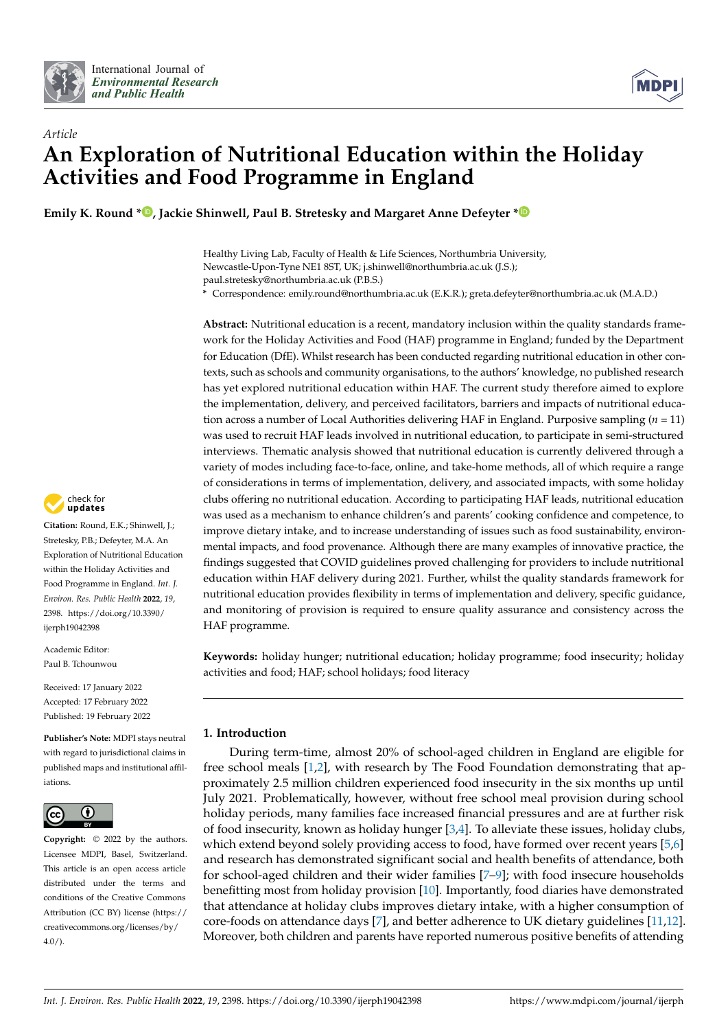



# *Article* **An Exploration of Nutritional Education within the Holiday Activities and Food Programme in England**

**Emily K. Round [\\*](https://orcid.org/0000-0001-6071-3529) , Jackie Shinwell, Paul B. Stretesky and Margaret Anne Defeyter [\\*](https://orcid.org/0000-0003-2808-523X)**

Healthy Living Lab, Faculty of Health & Life Sciences, Northumbria University, Newcastle-Upon-Tyne NE1 8ST, UK; j.shinwell@northumbria.ac.uk (J.S.); paul.stretesky@northumbria.ac.uk (P.B.S.)

**\*** Correspondence: emily.round@northumbria.ac.uk (E.K.R.); greta.defeyter@northumbria.ac.uk (M.A.D.)

**Abstract:** Nutritional education is a recent, mandatory inclusion within the quality standards framework for the Holiday Activities and Food (HAF) programme in England; funded by the Department for Education (DfE). Whilst research has been conducted regarding nutritional education in other contexts, such as schools and community organisations, to the authors' knowledge, no published research has yet explored nutritional education within HAF. The current study therefore aimed to explore the implementation, delivery, and perceived facilitators, barriers and impacts of nutritional education across a number of Local Authorities delivering HAF in England. Purposive sampling (*n* = 11) was used to recruit HAF leads involved in nutritional education, to participate in semi-structured interviews. Thematic analysis showed that nutritional education is currently delivered through a variety of modes including face-to-face, online, and take-home methods, all of which require a range of considerations in terms of implementation, delivery, and associated impacts, with some holiday clubs offering no nutritional education. According to participating HAF leads, nutritional education was used as a mechanism to enhance children's and parents' cooking confidence and competence, to improve dietary intake, and to increase understanding of issues such as food sustainability, environmental impacts, and food provenance. Although there are many examples of innovative practice, the findings suggested that COVID guidelines proved challenging for providers to include nutritional education within HAF delivery during 2021. Further, whilst the quality standards framework for nutritional education provides flexibility in terms of implementation and delivery, specific guidance, and monitoring of provision is required to ensure quality assurance and consistency across the HAF programme.

**Keywords:** holiday hunger; nutritional education; holiday programme; food insecurity; holiday activities and food; HAF; school holidays; food literacy

# **1. Introduction**

During term-time, almost 20% of school-aged children in England are eligible for free school meals [\[1](#page-16-0)[,2\]](#page-16-1), with research by The Food Foundation demonstrating that approximately 2.5 million children experienced food insecurity in the six months up until July 2021. Problematically, however, without free school meal provision during school holiday periods, many families face increased financial pressures and are at further risk of food insecurity, known as holiday hunger  $[3,4]$  $[3,4]$ . To alleviate these issues, holiday clubs, which extend beyond solely providing access to food, have formed over recent years [\[5](#page-16-4)[,6\]](#page-16-5) and research has demonstrated significant social and health benefits of attendance, both for school-aged children and their wider families [\[7](#page-16-6)[–9\]](#page-16-7); with food insecure households benefitting most from holiday provision [\[10\]](#page-16-8). Importantly, food diaries have demonstrated that attendance at holiday clubs improves dietary intake, with a higher consumption of core-foods on attendance days [\[7\]](#page-16-6), and better adherence to UK dietary guidelines [\[11,](#page-16-9)[12\]](#page-16-10). Moreover, both children and parents have reported numerous positive benefits of attending



**Citation:** Round, E.K.; Shinwell, J.; Stretesky, P.B.; Defeyter, M.A. An Exploration of Nutritional Education within the Holiday Activities and Food Programme in England. *Int. J. Environ. Res. Public Health* **2022**, *19*, 2398. [https://doi.org/10.3390/](https://doi.org/10.3390/ijerph19042398) [ijerph19042398](https://doi.org/10.3390/ijerph19042398)

Academic Editor: Paul B. Tchounwou

Received: 17 January 2022 Accepted: 17 February 2022 Published: 19 February 2022

**Publisher's Note:** MDPI stays neutral with regard to jurisdictional claims in published maps and institutional affiliations.



**Copyright:** © 2022 by the authors. Licensee MDPI, Basel, Switzerland. This article is an open access article distributed under the terms and conditions of the Creative Commons Attribution (CC BY) license [\(https://](https://creativecommons.org/licenses/by/4.0/) [creativecommons.org/licenses/by/](https://creativecommons.org/licenses/by/4.0/)  $4.0/$ ).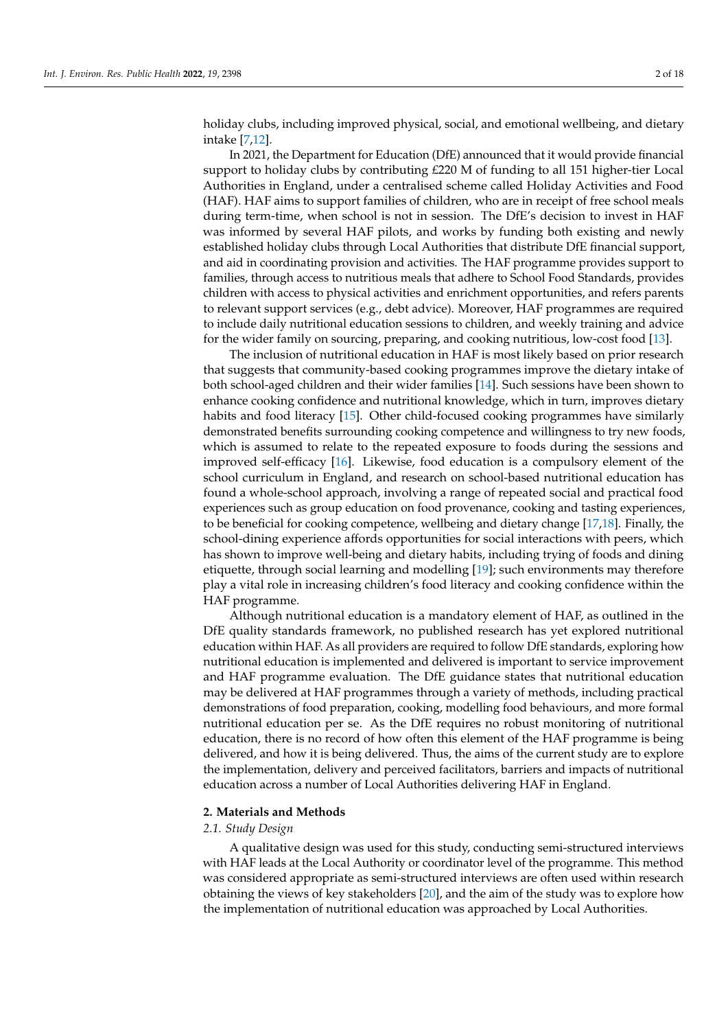holiday clubs, including improved physical, social, and emotional wellbeing, and dietary intake [\[7](#page-16-6)[,12\]](#page-16-10).

In 2021, the Department for Education (DfE) announced that it would provide financial support to holiday clubs by contributing £220 M of funding to all 151 higher-tier Local Authorities in England, under a centralised scheme called Holiday Activities and Food (HAF). HAF aims to support families of children, who are in receipt of free school meals during term-time, when school is not in session. The DfE's decision to invest in HAF was informed by several HAF pilots, and works by funding both existing and newly established holiday clubs through Local Authorities that distribute DfE financial support, and aid in coordinating provision and activities. The HAF programme provides support to families, through access to nutritious meals that adhere to School Food Standards, provides children with access to physical activities and enrichment opportunities, and refers parents to relevant support services (e.g., debt advice). Moreover, HAF programmes are required to include daily nutritional education sessions to children, and weekly training and advice for the wider family on sourcing, preparing, and cooking nutritious, low-cost food [\[13\]](#page-16-11).

The inclusion of nutritional education in HAF is most likely based on prior research that suggests that community-based cooking programmes improve the dietary intake of both school-aged children and their wider families [\[14\]](#page-17-0). Such sessions have been shown to enhance cooking confidence and nutritional knowledge, which in turn, improves dietary habits and food literacy [\[15\]](#page-17-1). Other child-focused cooking programmes have similarly demonstrated benefits surrounding cooking competence and willingness to try new foods, which is assumed to relate to the repeated exposure to foods during the sessions and improved self-efficacy [\[16\]](#page-17-2). Likewise, food education is a compulsory element of the school curriculum in England, and research on school-based nutritional education has found a whole-school approach, involving a range of repeated social and practical food experiences such as group education on food provenance, cooking and tasting experiences, to be beneficial for cooking competence, wellbeing and dietary change [\[17](#page-17-3)[,18\]](#page-17-4). Finally, the school-dining experience affords opportunities for social interactions with peers, which has shown to improve well-being and dietary habits, including trying of foods and dining etiquette, through social learning and modelling [\[19\]](#page-17-5); such environments may therefore play a vital role in increasing children's food literacy and cooking confidence within the HAF programme.

Although nutritional education is a mandatory element of HAF, as outlined in the DfE quality standards framework, no published research has yet explored nutritional education within HAF. As all providers are required to follow DfE standards, exploring how nutritional education is implemented and delivered is important to service improvement and HAF programme evaluation. The DfE guidance states that nutritional education may be delivered at HAF programmes through a variety of methods, including practical demonstrations of food preparation, cooking, modelling food behaviours, and more formal nutritional education per se. As the DfE requires no robust monitoring of nutritional education, there is no record of how often this element of the HAF programme is being delivered, and how it is being delivered. Thus, the aims of the current study are to explore the implementation, delivery and perceived facilitators, barriers and impacts of nutritional education across a number of Local Authorities delivering HAF in England.

#### **2. Materials and Methods**

## *2.1. Study Design*

A qualitative design was used for this study, conducting semi-structured interviews with HAF leads at the Local Authority or coordinator level of the programme. This method was considered appropriate as semi-structured interviews are often used within research obtaining the views of key stakeholders [\[20\]](#page-17-6), and the aim of the study was to explore how the implementation of nutritional education was approached by Local Authorities.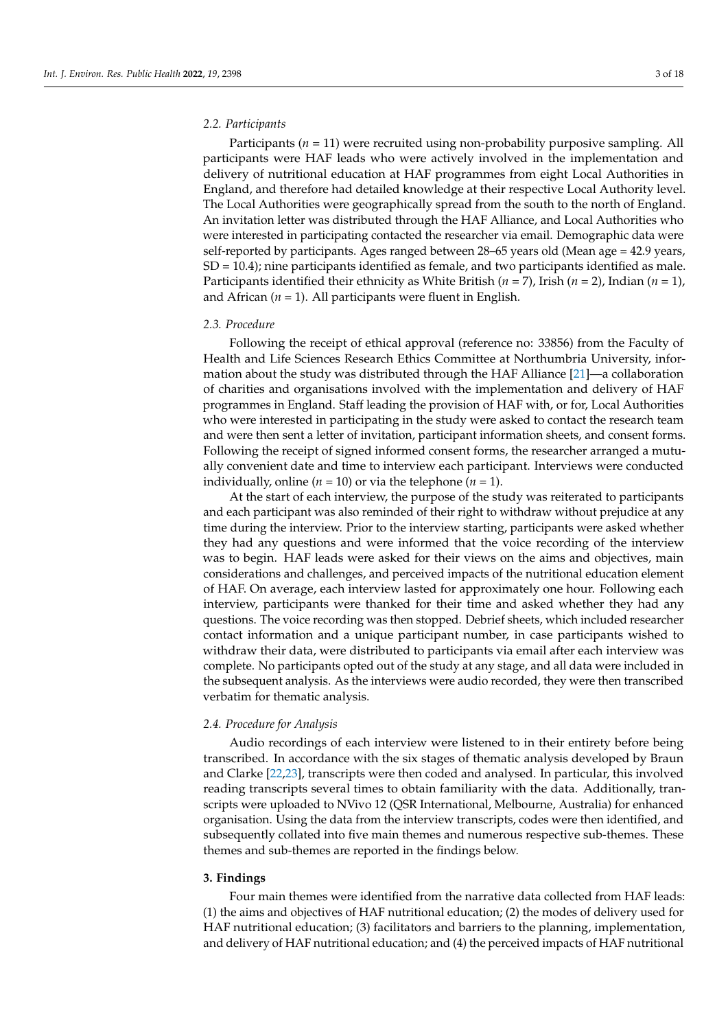#### *2.2. Participants*

Participants (*n* = 11) were recruited using non-probability purposive sampling. All participants were HAF leads who were actively involved in the implementation and delivery of nutritional education at HAF programmes from eight Local Authorities in England, and therefore had detailed knowledge at their respective Local Authority level. The Local Authorities were geographically spread from the south to the north of England. An invitation letter was distributed through the HAF Alliance, and Local Authorities who were interested in participating contacted the researcher via email. Demographic data were self-reported by participants. Ages ranged between 28–65 years old (Mean age = 42.9 years, SD = 10.4); nine participants identified as female, and two participants identified as male. Participants identified their ethnicity as White British (*n* = 7), Irish (*n* = 2), Indian (*n* = 1), and African  $(n = 1)$ . All participants were fluent in English.

#### *2.3. Procedure*

Following the receipt of ethical approval (reference no: 33856) from the Faculty of Health and Life Sciences Research Ethics Committee at Northumbria University, information about the study was distributed through the HAF Alliance [\[21\]](#page-17-7)—a collaboration of charities and organisations involved with the implementation and delivery of HAF programmes in England. Staff leading the provision of HAF with, or for, Local Authorities who were interested in participating in the study were asked to contact the research team and were then sent a letter of invitation, participant information sheets, and consent forms. Following the receipt of signed informed consent forms, the researcher arranged a mutually convenient date and time to interview each participant. Interviews were conducted individually, online ( $n = 10$ ) or via the telephone ( $n = 1$ ).

At the start of each interview, the purpose of the study was reiterated to participants and each participant was also reminded of their right to withdraw without prejudice at any time during the interview. Prior to the interview starting, participants were asked whether they had any questions and were informed that the voice recording of the interview was to begin. HAF leads were asked for their views on the aims and objectives, main considerations and challenges, and perceived impacts of the nutritional education element of HAF. On average, each interview lasted for approximately one hour. Following each interview, participants were thanked for their time and asked whether they had any questions. The voice recording was then stopped. Debrief sheets, which included researcher contact information and a unique participant number, in case participants wished to withdraw their data, were distributed to participants via email after each interview was complete. No participants opted out of the study at any stage, and all data were included in the subsequent analysis. As the interviews were audio recorded, they were then transcribed verbatim for thematic analysis.

#### *2.4. Procedure for Analysis*

Audio recordings of each interview were listened to in their entirety before being transcribed. In accordance with the six stages of thematic analysis developed by Braun and Clarke [\[22](#page-17-8)[,23\]](#page-17-9), transcripts were then coded and analysed. In particular, this involved reading transcripts several times to obtain familiarity with the data. Additionally, transcripts were uploaded to NVivo 12 (QSR International, Melbourne, Australia) for enhanced organisation. Using the data from the interview transcripts, codes were then identified, and subsequently collated into five main themes and numerous respective sub-themes. These themes and sub-themes are reported in the findings below.

#### **3. Findings**

Four main themes were identified from the narrative data collected from HAF leads: (1) the aims and objectives of HAF nutritional education; (2) the modes of delivery used for HAF nutritional education; (3) facilitators and barriers to the planning, implementation, and delivery of HAF nutritional education; and (4) the perceived impacts of HAF nutritional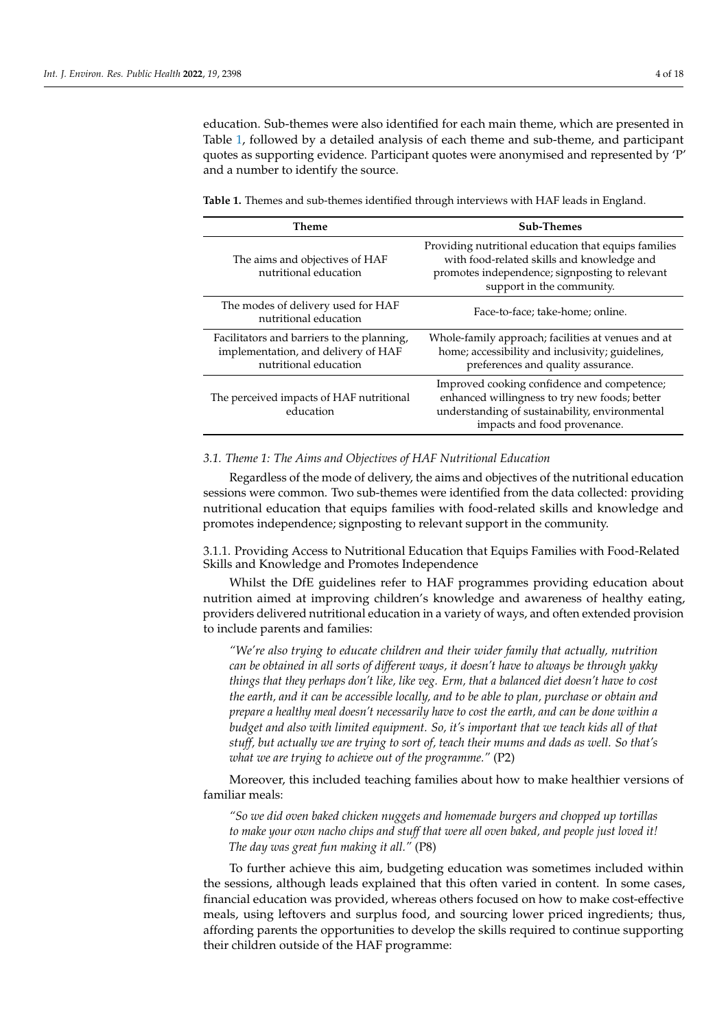education. Sub-themes were also identified for each main theme, which are presented in Table [1,](#page-3-0) followed by a detailed analysis of each theme and sub-theme, and participant quotes as supporting evidence. Participant quotes were anonymised and represented by 'P' and a number to identify the source.

<span id="page-3-0"></span>**Table 1.** Themes and sub-themes identified through interviews with HAF leads in England.

| Theme                                                                                                      | <b>Sub-Themes</b>                                                                                                                                                                 |
|------------------------------------------------------------------------------------------------------------|-----------------------------------------------------------------------------------------------------------------------------------------------------------------------------------|
| The aims and objectives of HAF<br>nutritional education                                                    | Providing nutritional education that equips families<br>with food-related skills and knowledge and<br>promotes independence; signposting to relevant<br>support in the community. |
| The modes of delivery used for HAF<br>nutritional education                                                | Face-to-face; take-home; online.                                                                                                                                                  |
| Facilitators and barriers to the planning,<br>implementation, and delivery of HAF<br>nutritional education | Whole-family approach; facilities at venues and at<br>home; accessibility and inclusivity; guidelines,<br>preferences and quality assurance.                                      |
| The perceived impacts of HAF nutritional<br>education                                                      | Improved cooking confidence and competence;<br>enhanced willingness to try new foods; better<br>understanding of sustainability, environmental<br>impacts and food provenance.    |

## *3.1. Theme 1: The Aims and Objectives of HAF Nutritional Education*

Regardless of the mode of delivery, the aims and objectives of the nutritional education sessions were common. Two sub-themes were identified from the data collected: providing nutritional education that equips families with food-related skills and knowledge and promotes independence; signposting to relevant support in the community.

3.1.1. Providing Access to Nutritional Education that Equips Families with Food-Related Skills and Knowledge and Promotes Independence

Whilst the DfE guidelines refer to HAF programmes providing education about nutrition aimed at improving children's knowledge and awareness of healthy eating, providers delivered nutritional education in a variety of ways, and often extended provision to include parents and families:

*"We're also trying to educate children and their wider family that actually, nutrition can be obtained in all sorts of different ways, it doesn't have to always be through yakky things that they perhaps don't like, like veg. Erm, that a balanced diet doesn't have to cost the earth, and it can be accessible locally, and to be able to plan, purchase or obtain and prepare a healthy meal doesn't necessarily have to cost the earth, and can be done within a budget and also with limited equipment. So, it's important that we teach kids all of that stuff, but actually we are trying to sort of, teach their mums and dads as well. So that's what we are trying to achieve out of the programme."* (P2)

Moreover, this included teaching families about how to make healthier versions of familiar meals:

*"So we did oven baked chicken nuggets and homemade burgers and chopped up tortillas to make your own nacho chips and stuff that were all oven baked, and people just loved it! The day was great fun making it all."* (P8)

To further achieve this aim, budgeting education was sometimes included within the sessions, although leads explained that this often varied in content. In some cases, financial education was provided, whereas others focused on how to make cost-effective meals, using leftovers and surplus food, and sourcing lower priced ingredients; thus, affording parents the opportunities to develop the skills required to continue supporting their children outside of the HAF programme: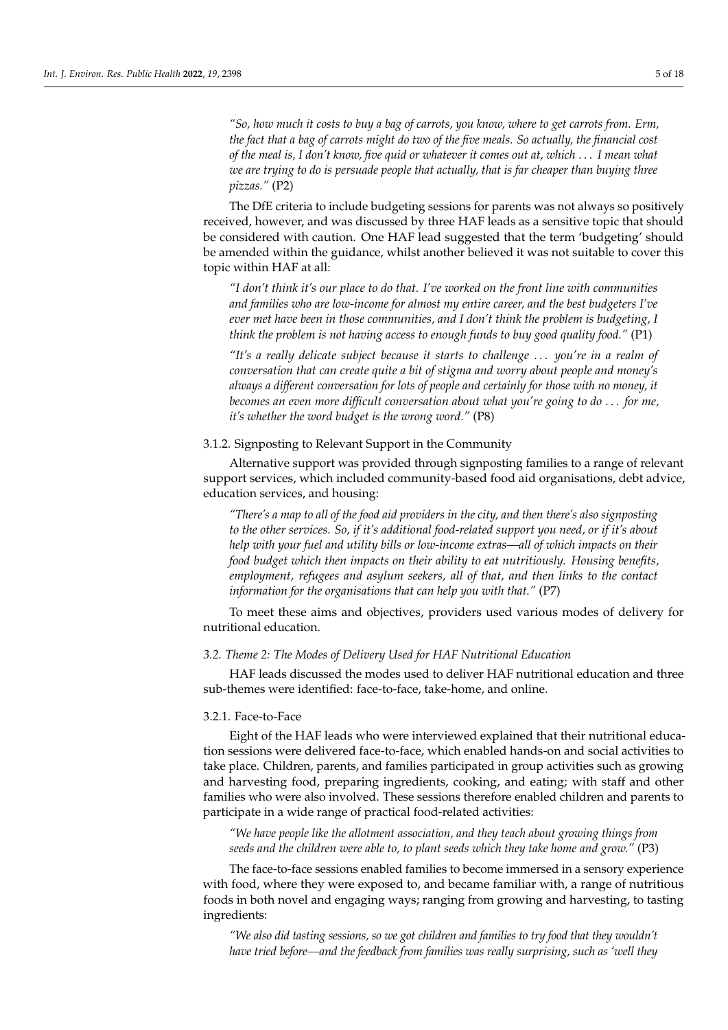*"So, how much it costs to buy a bag of carrots, you know, where to get carrots from. Erm, the fact that a bag of carrots might do two of the five meals. So actually, the financial cost of the meal is, I don't know, five quid or whatever it comes out at, which* . . . *I mean what we are trying to do is persuade people that actually, that is far cheaper than buying three pizzas."* (P2)

The DfE criteria to include budgeting sessions for parents was not always so positively received, however, and was discussed by three HAF leads as a sensitive topic that should be considered with caution. One HAF lead suggested that the term 'budgeting' should be amended within the guidance, whilst another believed it was not suitable to cover this topic within HAF at all:

*"I don't think it's our place to do that. I've worked on the front line with communities and families who are low-income for almost my entire career, and the best budgeters I've ever met have been in those communities, and I don't think the problem is budgeting, I think the problem is not having access to enough funds to buy good quality food."* (P1)

*"It's a really delicate subject because it starts to challenge* . . . *you're in a realm of conversation that can create quite a bit of stigma and worry about people and money's always a different conversation for lots of people and certainly for those with no money, it becomes an even more difficult conversation about what you're going to do* . . . *for me, it's whether the word budget is the wrong word."* (P8)

## 3.1.2. Signposting to Relevant Support in the Community

Alternative support was provided through signposting families to a range of relevant support services, which included community-based food aid organisations, debt advice, education services, and housing:

*"There's a map to all of the food aid providers in the city, and then there's also signposting to the other services. So, if it's additional food-related support you need, or if it's about help with your fuel and utility bills or low-income extras—all of which impacts on their food budget which then impacts on their ability to eat nutritiously. Housing benefits, employment, refugees and asylum seekers, all of that, and then links to the contact information for the organisations that can help you with that."* (P7)

To meet these aims and objectives, providers used various modes of delivery for nutritional education.

#### *3.2. Theme 2: The Modes of Delivery Used for HAF Nutritional Education*

HAF leads discussed the modes used to deliver HAF nutritional education and three sub-themes were identified: face-to-face, take-home, and online.

#### 3.2.1. Face-to-Face

Eight of the HAF leads who were interviewed explained that their nutritional education sessions were delivered face-to-face, which enabled hands-on and social activities to take place. Children, parents, and families participated in group activities such as growing and harvesting food, preparing ingredients, cooking, and eating; with staff and other families who were also involved. These sessions therefore enabled children and parents to participate in a wide range of practical food-related activities:

*"We have people like the allotment association, and they teach about growing things from seeds and the children were able to, to plant seeds which they take home and grow."* (P3)

The face-to-face sessions enabled families to become immersed in a sensory experience with food, where they were exposed to, and became familiar with, a range of nutritious foods in both novel and engaging ways; ranging from growing and harvesting, to tasting ingredients:

*"We also did tasting sessions, so we got children and families to try food that they wouldn't have tried before—and the feedback from families was really surprising, such as 'well they*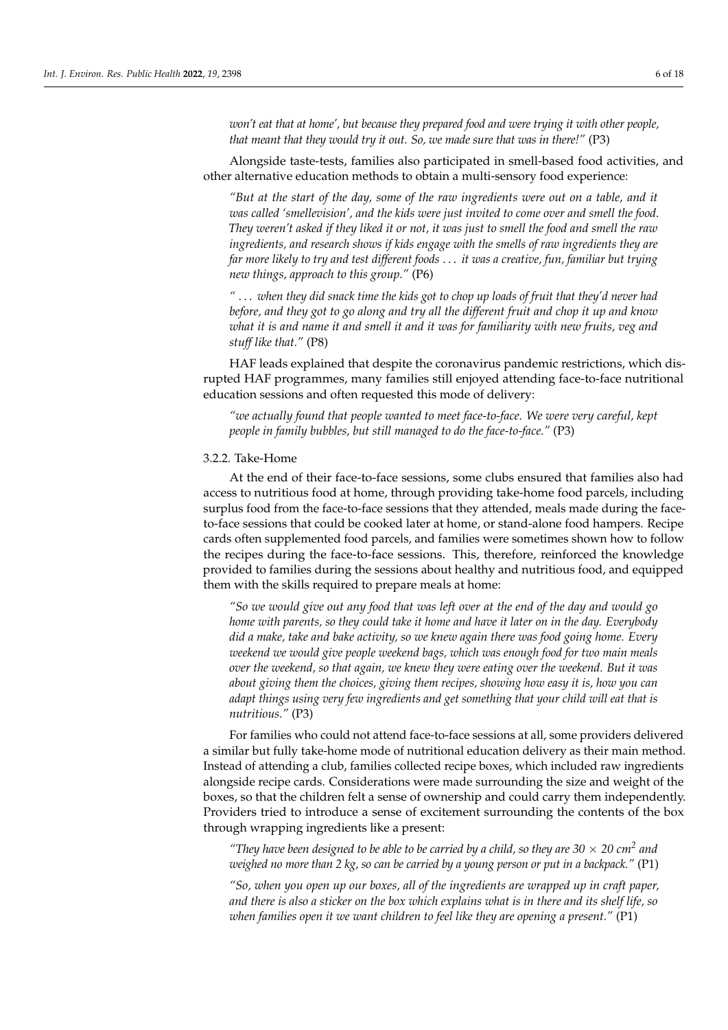*won't eat that at home', but because they prepared food and were trying it with other people, that meant that they would try it out. So, we made sure that was in there!"* (P3)

Alongside taste-tests, families also participated in smell-based food activities, and other alternative education methods to obtain a multi-sensory food experience:

*"But at the start of the day, some of the raw ingredients were out on a table, and it was called 'smellevision', and the kids were just invited to come over and smell the food. They weren't asked if they liked it or not, it was just to smell the food and smell the raw ingredients, and research shows if kids engage with the smells of raw ingredients they are far more likely to try and test different foods* . . . *it was a creative, fun, familiar but trying new things, approach to this group."* (P6)

*"* . . . *when they did snack time the kids got to chop up loads of fruit that they'd never had before, and they got to go along and try all the different fruit and chop it up and know what it is and name it and smell it and it was for familiarity with new fruits, veg and stuff like that."* (P8)

HAF leads explained that despite the coronavirus pandemic restrictions, which disrupted HAF programmes, many families still enjoyed attending face-to-face nutritional education sessions and often requested this mode of delivery:

*"we actually found that people wanted to meet face-to-face. We were very careful, kept people in family bubbles, but still managed to do the face-to-face."* (P3)

# 3.2.2. Take-Home

At the end of their face-to-face sessions, some clubs ensured that families also had access to nutritious food at home, through providing take-home food parcels, including surplus food from the face-to-face sessions that they attended, meals made during the faceto-face sessions that could be cooked later at home, or stand-alone food hampers. Recipe cards often supplemented food parcels, and families were sometimes shown how to follow the recipes during the face-to-face sessions. This, therefore, reinforced the knowledge provided to families during the sessions about healthy and nutritious food, and equipped them with the skills required to prepare meals at home:

*"So we would give out any food that was left over at the end of the day and would go home with parents, so they could take it home and have it later on in the day. Everybody did a make, take and bake activity, so we knew again there was food going home. Every weekend we would give people weekend bags, which was enough food for two main meals over the weekend, so that again, we knew they were eating over the weekend. But it was about giving them the choices, giving them recipes, showing how easy it is, how you can adapt things using very few ingredients and get something that your child will eat that is nutritious."* (P3)

For families who could not attend face-to-face sessions at all, some providers delivered a similar but fully take-home mode of nutritional education delivery as their main method. Instead of attending a club, families collected recipe boxes, which included raw ingredients alongside recipe cards. Considerations were made surrounding the size and weight of the boxes, so that the children felt a sense of ownership and could carry them independently. Providers tried to introduce a sense of excitement surrounding the contents of the box through wrapping ingredients like a present:

"They have been designed to be able to be carried by a child, so they are  $30 \times 20$  cm<sup>2</sup> and *weighed no more than 2 kg, so can be carried by a young person or put in a backpack."* (P1)

*"So, when you open up our boxes, all of the ingredients are wrapped up in craft paper, and there is also a sticker on the box which explains what is in there and its shelf life, so when families open it we want children to feel like they are opening a present."* (P1)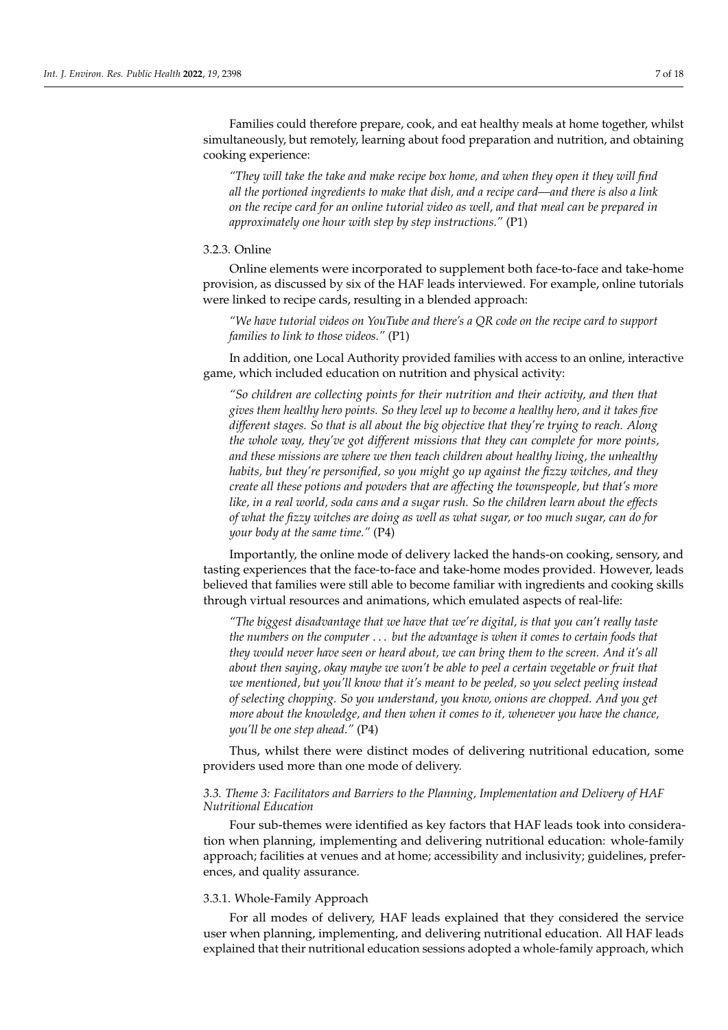Families could therefore prepare, cook, and eat healthy meals at home together, whilst simultaneously, but remotely, learning about food preparation and nutrition, and obtaining cooking experience:

*"They will take the take and make recipe box home, and when they open it they will find all the portioned ingredients to make that dish, and a recipe card—and there is also a link on the recipe card for an online tutorial video as well, and that meal can be prepared in approximately one hour with step by step instructions."* (P1)

#### 3.2.3. Online

Online elements were incorporated to supplement both face-to-face and take-home provision, as discussed by six of the HAF leads interviewed. For example, online tutorials were linked to recipe cards, resulting in a blended approach:

*"We have tutorial videos on YouTube and there's a QR code on the recipe card to support families to link to those videos."* (P1)

In addition, one Local Authority provided families with access to an online, interactive game, which included education on nutrition and physical activity:

*"So children are collecting points for their nutrition and their activity, and then that gives them healthy hero points. So they level up to become a healthy hero, and it takes five different stages. So that is all about the big objective that they're trying to reach. Along the whole way, they've got different missions that they can complete for more points, and these missions are where we then teach children about healthy living, the unhealthy habits, but they're personified, so you might go up against the fizzy witches, and they create all these potions and powders that are affecting the townspeople, but that's more like, in a real world, soda cans and a sugar rush. So the children learn about the effects of what the fizzy witches are doing as well as what sugar, or too much sugar, can do for your body at the same time."* (P4)

Importantly, the online mode of delivery lacked the hands-on cooking, sensory, and tasting experiences that the face-to-face and take-home modes provided. However, leads believed that families were still able to become familiar with ingredients and cooking skills through virtual resources and animations, which emulated aspects of real-life:

*"The biggest disadvantage that we have that we're digital, is that you can't really taste the numbers on the computer* . . . *but the advantage is when it comes to certain foods that they would never have seen or heard about, we can bring them to the screen. And it's all about then saying, okay maybe we won't be able to peel a certain vegetable or fruit that we mentioned, but you'll know that it's meant to be peeled, so you select peeling instead of selecting chopping. So you understand, you know, onions are chopped. And you get more about the knowledge, and then when it comes to it, whenever you have the chance, you'll be one step ahead."* (P4)

Thus, whilst there were distinct modes of delivering nutritional education, some providers used more than one mode of delivery.

# *3.3. Theme 3: Facilitators and Barriers to the Planning, Implementation and Delivery of HAF Nutritional Education*

Four sub-themes were identified as key factors that HAF leads took into consideration when planning, implementing and delivering nutritional education: whole-family approach; facilities at venues and at home; accessibility and inclusivity; guidelines, preferences, and quality assurance.

# 3.3.1. Whole-Family Approach

For all modes of delivery, HAF leads explained that they considered the service user when planning, implementing, and delivering nutritional education. All HAF leads explained that their nutritional education sessions adopted a whole-family approach, which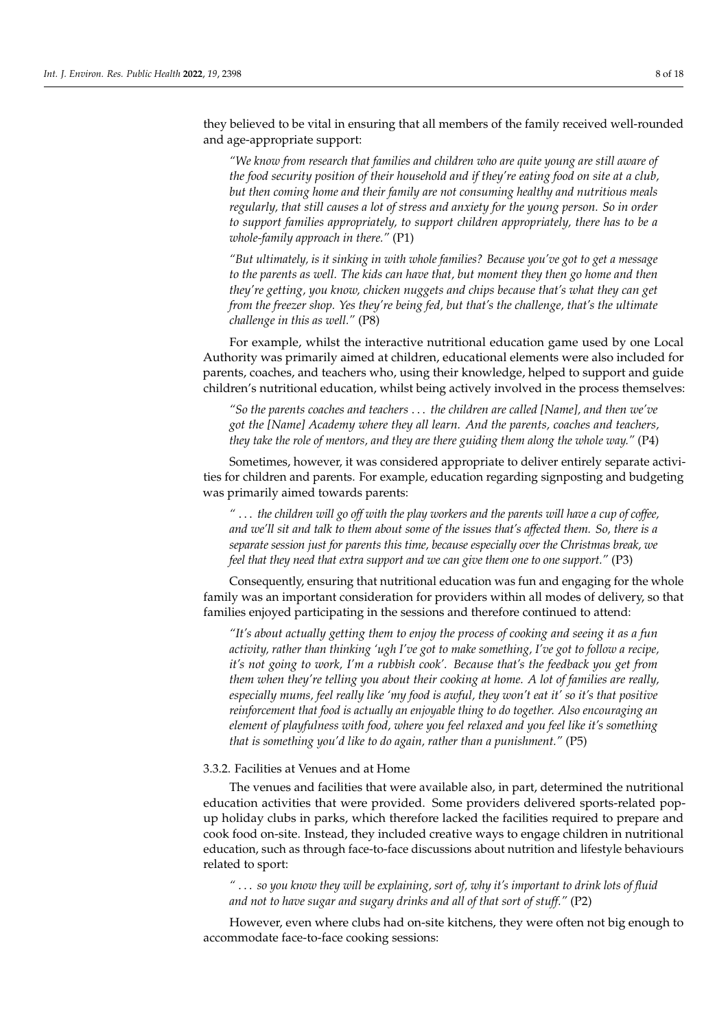they believed to be vital in ensuring that all members of the family received well-rounded and age-appropriate support:

*"We know from research that families and children who are quite young are still aware of the food security position of their household and if they're eating food on site at a club, but then coming home and their family are not consuming healthy and nutritious meals regularly, that still causes a lot of stress and anxiety for the young person. So in order to support families appropriately, to support children appropriately, there has to be a whole-family approach in there."* (P1)

*"But ultimately, is it sinking in with whole families? Because you've got to get a message to the parents as well. The kids can have that, but moment they then go home and then they're getting, you know, chicken nuggets and chips because that's what they can get from the freezer shop. Yes they're being fed, but that's the challenge, that's the ultimate challenge in this as well."* (P8)

For example, whilst the interactive nutritional education game used by one Local Authority was primarily aimed at children, educational elements were also included for parents, coaches, and teachers who, using their knowledge, helped to support and guide children's nutritional education, whilst being actively involved in the process themselves:

*"So the parents coaches and teachers* . . . *the children are called [Name], and then we've got the [Name] Academy where they all learn. And the parents, coaches and teachers, they take the role of mentors, and they are there guiding them along the whole way."* (P4)

Sometimes, however, it was considered appropriate to deliver entirely separate activities for children and parents. For example, education regarding signposting and budgeting was primarily aimed towards parents:

*"* . . . *the children will go off with the play workers and the parents will have a cup of coffee, and we'll sit and talk to them about some of the issues that's affected them. So, there is a separate session just for parents this time, because especially over the Christmas break, we feel that they need that extra support and we can give them one to one support."* (P3)

Consequently, ensuring that nutritional education was fun and engaging for the whole family was an important consideration for providers within all modes of delivery, so that families enjoyed participating in the sessions and therefore continued to attend:

*"It's about actually getting them to enjoy the process of cooking and seeing it as a fun activity, rather than thinking 'ugh I've got to make something, I've got to follow a recipe, it's not going to work, I'm a rubbish cook'. Because that's the feedback you get from them when they're telling you about their cooking at home. A lot of families are really, especially mums, feel really like 'my food is awful, they won't eat it' so it's that positive reinforcement that food is actually an enjoyable thing to do together. Also encouraging an element of playfulness with food, where you feel relaxed and you feel like it's something that is something you'd like to do again, rather than a punishment."* (P5)

## 3.3.2. Facilities at Venues and at Home

The venues and facilities that were available also, in part, determined the nutritional education activities that were provided. Some providers delivered sports-related popup holiday clubs in parks, which therefore lacked the facilities required to prepare and cook food on-site. Instead, they included creative ways to engage children in nutritional education, such as through face-to-face discussions about nutrition and lifestyle behaviours related to sport:

*"* . . . *so you know they will be explaining, sort of, why it's important to drink lots of fluid and not to have sugar and sugary drinks and all of that sort of stuff."* (P2)

However, even where clubs had on-site kitchens, they were often not big enough to accommodate face-to-face cooking sessions: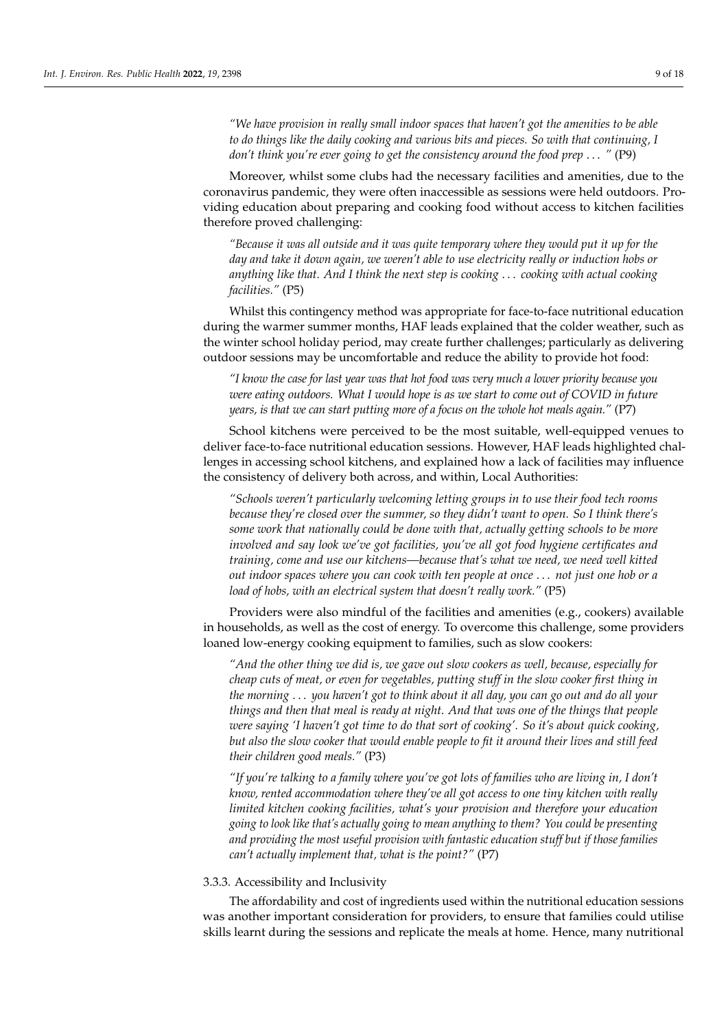*"We have provision in really small indoor spaces that haven't got the amenities to be able to do things like the daily cooking and various bits and pieces. So with that continuing, I don't think you're ever going to get the consistency around the food prep* . . . *"* (P9)

Moreover, whilst some clubs had the necessary facilities and amenities, due to the coronavirus pandemic, they were often inaccessible as sessions were held outdoors. Providing education about preparing and cooking food without access to kitchen facilities therefore proved challenging:

*"Because it was all outside and it was quite temporary where they would put it up for the day and take it down again, we weren't able to use electricity really or induction hobs or anything like that. And I think the next step is cooking* . . . *cooking with actual cooking facilities."* (P5)

Whilst this contingency method was appropriate for face-to-face nutritional education during the warmer summer months, HAF leads explained that the colder weather, such as the winter school holiday period, may create further challenges; particularly as delivering outdoor sessions may be uncomfortable and reduce the ability to provide hot food:

*"I know the case for last year was that hot food was very much a lower priority because you were eating outdoors. What I would hope is as we start to come out of COVID in future years, is that we can start putting more of a focus on the whole hot meals again."* (P7)

School kitchens were perceived to be the most suitable, well-equipped venues to deliver face-to-face nutritional education sessions. However, HAF leads highlighted challenges in accessing school kitchens, and explained how a lack of facilities may influence the consistency of delivery both across, and within, Local Authorities:

*"Schools weren't particularly welcoming letting groups in to use their food tech rooms because they're closed over the summer, so they didn't want to open. So I think there's some work that nationally could be done with that, actually getting schools to be more involved and say look we've got facilities, you've all got food hygiene certificates and training, come and use our kitchens—because that's what we need, we need well kitted out indoor spaces where you can cook with ten people at once* . . . *not just one hob or a load of hobs, with an electrical system that doesn't really work."* (P5)

Providers were also mindful of the facilities and amenities (e.g., cookers) available in households, as well as the cost of energy. To overcome this challenge, some providers loaned low-energy cooking equipment to families, such as slow cookers:

*"And the other thing we did is, we gave out slow cookers as well, because, especially for cheap cuts of meat, or even for vegetables, putting stuff in the slow cooker first thing in the morning* . . . *you haven't got to think about it all day, you can go out and do all your things and then that meal is ready at night. And that was one of the things that people were saying 'I haven't got time to do that sort of cooking'. So it's about quick cooking, but also the slow cooker that would enable people to fit it around their lives and still feed their children good meals."* (P3)

*"If you're talking to a family where you've got lots of families who are living in, I don't know, rented accommodation where they've all got access to one tiny kitchen with really limited kitchen cooking facilities, what's your provision and therefore your education going to look like that's actually going to mean anything to them? You could be presenting and providing the most useful provision with fantastic education stuff but if those families can't actually implement that, what is the point?"* (P7)

#### 3.3.3. Accessibility and Inclusivity

The affordability and cost of ingredients used within the nutritional education sessions was another important consideration for providers, to ensure that families could utilise skills learnt during the sessions and replicate the meals at home. Hence, many nutritional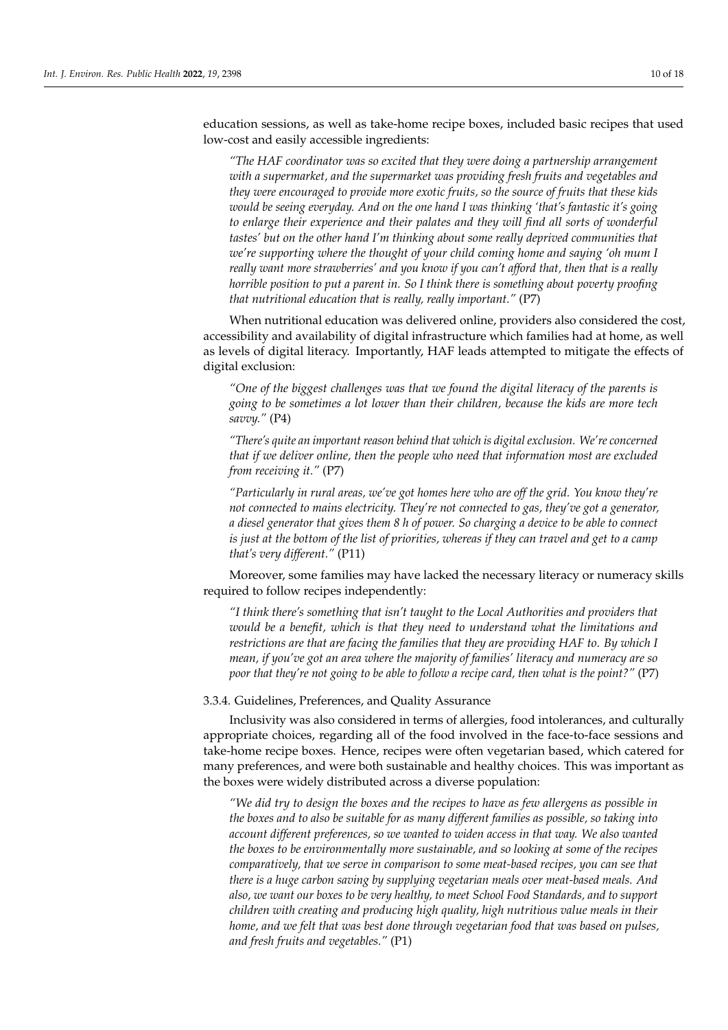education sessions, as well as take-home recipe boxes, included basic recipes that used low-cost and easily accessible ingredients:

*"The HAF coordinator was so excited that they were doing a partnership arrangement with a supermarket, and the supermarket was providing fresh fruits and vegetables and they were encouraged to provide more exotic fruits, so the source of fruits that these kids would be seeing everyday. And on the one hand I was thinking 'that's fantastic it's going to enlarge their experience and their palates and they will find all sorts of wonderful tastes' but on the other hand I'm thinking about some really deprived communities that we're supporting where the thought of your child coming home and saying 'oh mum I really want more strawberries' and you know if you can't afford that, then that is a really horrible position to put a parent in. So I think there is something about poverty proofing that nutritional education that is really, really important."* (P7)

When nutritional education was delivered online, providers also considered the cost, accessibility and availability of digital infrastructure which families had at home, as well as levels of digital literacy. Importantly, HAF leads attempted to mitigate the effects of digital exclusion:

*"One of the biggest challenges was that we found the digital literacy of the parents is going to be sometimes a lot lower than their children, because the kids are more tech savvy."* (P4)

*"There's quite an important reason behind that which is digital exclusion. We're concerned that if we deliver online, then the people who need that information most are excluded from receiving it."* (P7)

*"Particularly in rural areas, we've got homes here who are off the grid. You know they're not connected to mains electricity. They're not connected to gas, they've got a generator, a diesel generator that gives them 8 h of power. So charging a device to be able to connect is just at the bottom of the list of priorities, whereas if they can travel and get to a camp that's very different."* (P11)

Moreover, some families may have lacked the necessary literacy or numeracy skills required to follow recipes independently:

*"I think there's something that isn't taught to the Local Authorities and providers that would be a benefit, which is that they need to understand what the limitations and restrictions are that are facing the families that they are providing HAF to. By which I mean, if you've got an area where the majority of families' literacy and numeracy are so poor that they're not going to be able to follow a recipe card, then what is the point?"* (P7)

3.3.4. Guidelines, Preferences, and Quality Assurance

Inclusivity was also considered in terms of allergies, food intolerances, and culturally appropriate choices, regarding all of the food involved in the face-to-face sessions and take-home recipe boxes. Hence, recipes were often vegetarian based, which catered for many preferences, and were both sustainable and healthy choices. This was important as the boxes were widely distributed across a diverse population:

*"We did try to design the boxes and the recipes to have as few allergens as possible in the boxes and to also be suitable for as many different families as possible, so taking into account different preferences, so we wanted to widen access in that way. We also wanted the boxes to be environmentally more sustainable, and so looking at some of the recipes comparatively, that we serve in comparison to some meat-based recipes, you can see that there is a huge carbon saving by supplying vegetarian meals over meat-based meals. And also, we want our boxes to be very healthy, to meet School Food Standards, and to support children with creating and producing high quality, high nutritious value meals in their home, and we felt that was best done through vegetarian food that was based on pulses, and fresh fruits and vegetables."* (P1)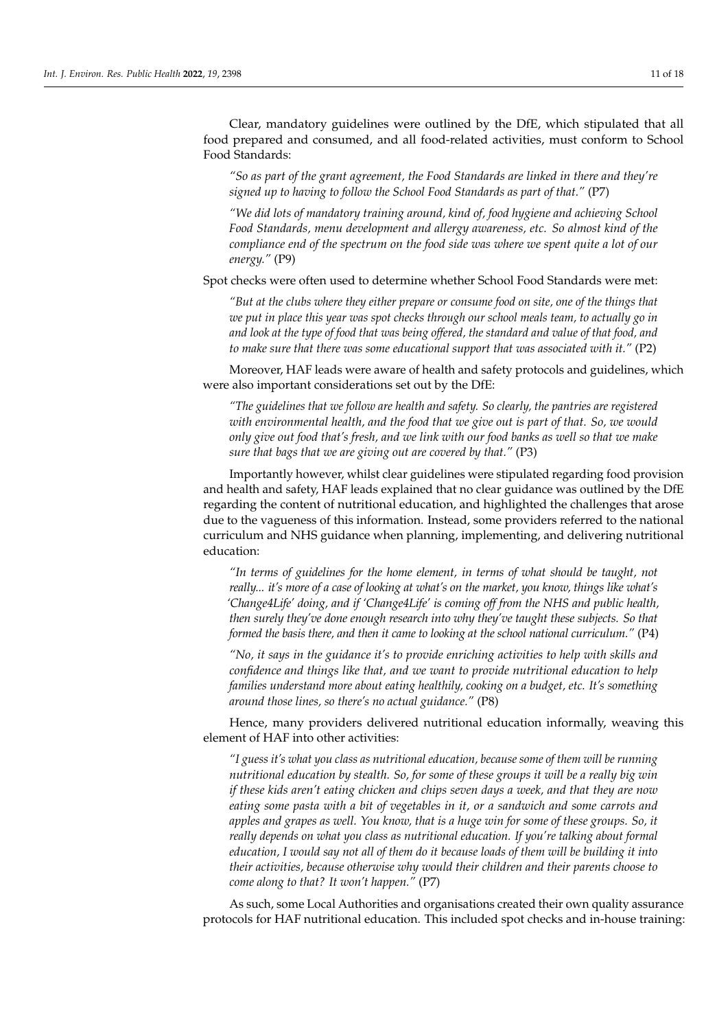Clear, mandatory guidelines were outlined by the DfE, which stipulated that all food prepared and consumed, and all food-related activities, must conform to School Food Standards:

*"So as part of the grant agreement, the Food Standards are linked in there and they're signed up to having to follow the School Food Standards as part of that."* (P7)

*"We did lots of mandatory training around, kind of, food hygiene and achieving School Food Standards, menu development and allergy awareness, etc. So almost kind of the compliance end of the spectrum on the food side was where we spent quite a lot of our energy."* (P9)

Spot checks were often used to determine whether School Food Standards were met:

*"But at the clubs where they either prepare or consume food on site, one of the things that we put in place this year was spot checks through our school meals team, to actually go in and look at the type of food that was being offered, the standard and value of that food, and to make sure that there was some educational support that was associated with it."* (P2)

Moreover, HAF leads were aware of health and safety protocols and guidelines, which were also important considerations set out by the DfE:

*"The guidelines that we follow are health and safety. So clearly, the pantries are registered with environmental health, and the food that we give out is part of that. So, we would only give out food that's fresh, and we link with our food banks as well so that we make sure that bags that we are giving out are covered by that."* (P3)

Importantly however, whilst clear guidelines were stipulated regarding food provision and health and safety, HAF leads explained that no clear guidance was outlined by the DfE regarding the content of nutritional education, and highlighted the challenges that arose due to the vagueness of this information. Instead, some providers referred to the national curriculum and NHS guidance when planning, implementing, and delivering nutritional education:

*"In terms of guidelines for the home element, in terms of what should be taught, not really... it's more of a case of looking at what's on the market, you know, things like what's 'Change4Life' doing, and if 'Change4Life' is coming off from the NHS and public health, then surely they've done enough research into why they've taught these subjects. So that formed the basis there, and then it came to looking at the school national curriculum."* (P4)

*"No, it says in the guidance it's to provide enriching activities to help with skills and confidence and things like that, and we want to provide nutritional education to help families understand more about eating healthily, cooking on a budget, etc. It's something around those lines, so there's no actual guidance."* (P8)

Hence, many providers delivered nutritional education informally, weaving this element of HAF into other activities:

*"I guess it's what you class as nutritional education, because some of them will be running nutritional education by stealth. So, for some of these groups it will be a really big win if these kids aren't eating chicken and chips seven days a week, and that they are now eating some pasta with a bit of vegetables in it, or a sandwich and some carrots and apples and grapes as well. You know, that is a huge win for some of these groups. So, it really depends on what you class as nutritional education. If you're talking about formal education, I would say not all of them do it because loads of them will be building it into their activities, because otherwise why would their children and their parents choose to come along to that? It won't happen."* (P7)

As such, some Local Authorities and organisations created their own quality assurance protocols for HAF nutritional education. This included spot checks and in-house training: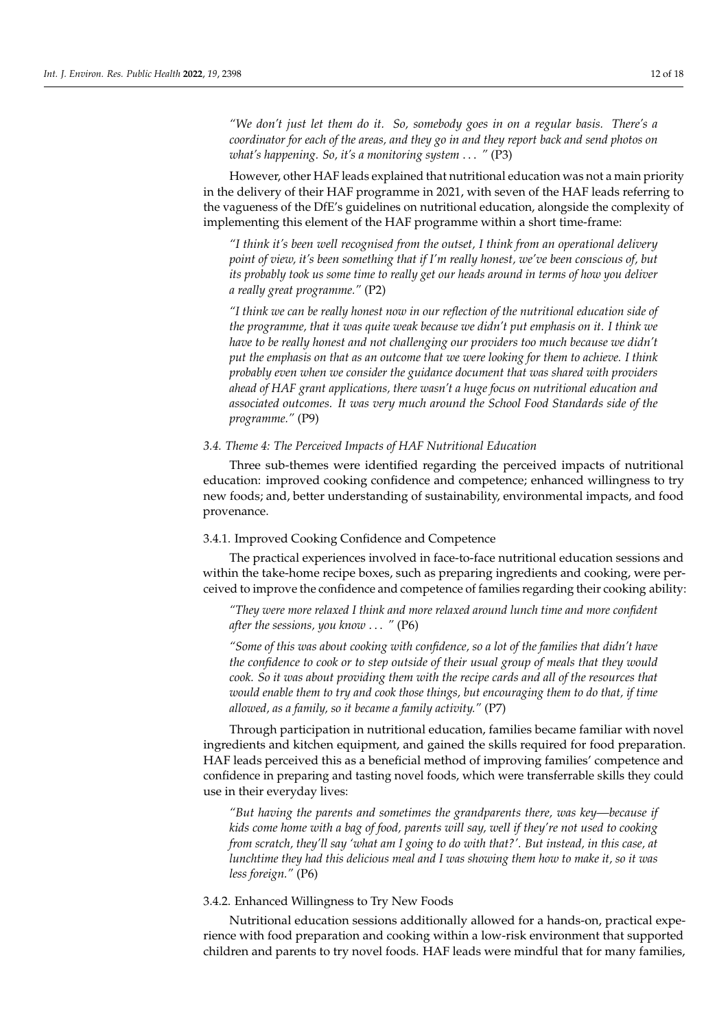*"We don't just let them do it. So, somebody goes in on a regular basis. There's a coordinator for each of the areas, and they go in and they report back and send photos on what's happening. So, it's a monitoring system* . . . *"* (P3)

However, other HAF leads explained that nutritional education was not a main priority in the delivery of their HAF programme in 2021, with seven of the HAF leads referring to the vagueness of the DfE's guidelines on nutritional education, alongside the complexity of implementing this element of the HAF programme within a short time-frame:

*"I think it's been well recognised from the outset, I think from an operational delivery point of view, it's been something that if I'm really honest, we've been conscious of, but its probably took us some time to really get our heads around in terms of how you deliver a really great programme."* (P2)

*"I think we can be really honest now in our reflection of the nutritional education side of the programme, that it was quite weak because we didn't put emphasis on it. I think we have to be really honest and not challenging our providers too much because we didn't put the emphasis on that as an outcome that we were looking for them to achieve. I think probably even when we consider the guidance document that was shared with providers ahead of HAF grant applications, there wasn't a huge focus on nutritional education and associated outcomes. It was very much around the School Food Standards side of the programme."* (P9)

## *3.4. Theme 4: The Perceived Impacts of HAF Nutritional Education*

Three sub-themes were identified regarding the perceived impacts of nutritional education: improved cooking confidence and competence; enhanced willingness to try new foods; and, better understanding of sustainability, environmental impacts, and food provenance.

#### 3.4.1. Improved Cooking Confidence and Competence

The practical experiences involved in face-to-face nutritional education sessions and within the take-home recipe boxes, such as preparing ingredients and cooking, were perceived to improve the confidence and competence of families regarding their cooking ability:

*"They were more relaxed I think and more relaxed around lunch time and more confident after the sessions, you know* . . . *"* (P6)

*"Some of this was about cooking with confidence, so a lot of the families that didn't have the confidence to cook or to step outside of their usual group of meals that they would cook. So it was about providing them with the recipe cards and all of the resources that would enable them to try and cook those things, but encouraging them to do that, if time allowed, as a family, so it became a family activity."* (P7)

Through participation in nutritional education, families became familiar with novel ingredients and kitchen equipment, and gained the skills required for food preparation. HAF leads perceived this as a beneficial method of improving families' competence and confidence in preparing and tasting novel foods, which were transferrable skills they could use in their everyday lives:

*"But having the parents and sometimes the grandparents there, was key—because if kids come home with a bag of food, parents will say, well if they're not used to cooking from scratch, they'll say 'what am I going to do with that?'. But instead, in this case, at lunchtime they had this delicious meal and I was showing them how to make it, so it was less foreign."* (P6)

## 3.4.2. Enhanced Willingness to Try New Foods

Nutritional education sessions additionally allowed for a hands-on, practical experience with food preparation and cooking within a low-risk environment that supported children and parents to try novel foods. HAF leads were mindful that for many families,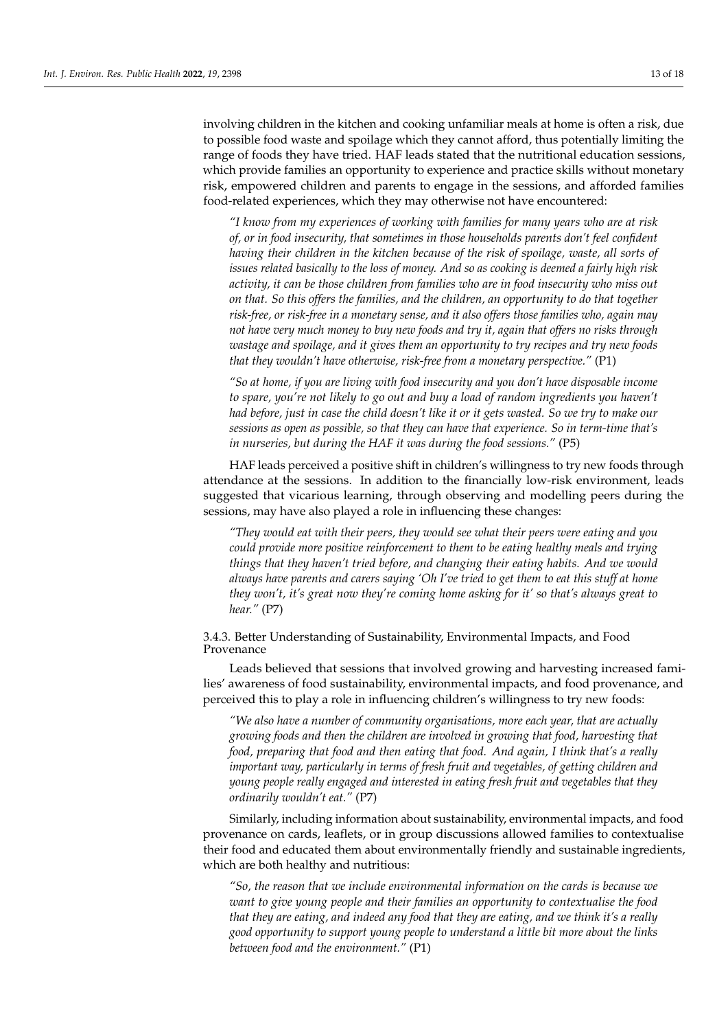involving children in the kitchen and cooking unfamiliar meals at home is often a risk, due to possible food waste and spoilage which they cannot afford, thus potentially limiting the range of foods they have tried. HAF leads stated that the nutritional education sessions, which provide families an opportunity to experience and practice skills without monetary risk, empowered children and parents to engage in the sessions, and afforded families food-related experiences, which they may otherwise not have encountered:

*"I know from my experiences of working with families for many years who are at risk of, or in food insecurity, that sometimes in those households parents don't feel confident having their children in the kitchen because of the risk of spoilage, waste, all sorts of issues related basically to the loss of money. And so as cooking is deemed a fairly high risk activity, it can be those children from families who are in food insecurity who miss out on that. So this offers the families, and the children, an opportunity to do that together risk-free, or risk-free in a monetary sense, and it also offers those families who, again may not have very much money to buy new foods and try it, again that offers no risks through wastage and spoilage, and it gives them an opportunity to try recipes and try new foods that they wouldn't have otherwise, risk-free from a monetary perspective."* (P1)

*"So at home, if you are living with food insecurity and you don't have disposable income to spare, you're not likely to go out and buy a load of random ingredients you haven't had before, just in case the child doesn't like it or it gets wasted. So we try to make our sessions as open as possible, so that they can have that experience. So in term-time that's in nurseries, but during the HAF it was during the food sessions."* (P5)

HAF leads perceived a positive shift in children's willingness to try new foods through attendance at the sessions. In addition to the financially low-risk environment, leads suggested that vicarious learning, through observing and modelling peers during the sessions, may have also played a role in influencing these changes:

*"They would eat with their peers, they would see what their peers were eating and you could provide more positive reinforcement to them to be eating healthy meals and trying things that they haven't tried before, and changing their eating habits. And we would always have parents and carers saying 'Oh I've tried to get them to eat this stuff at home they won't, it's great now they're coming home asking for it' so that's always great to hear."* (P7)

# 3.4.3. Better Understanding of Sustainability, Environmental Impacts, and Food Provenance

Leads believed that sessions that involved growing and harvesting increased families' awareness of food sustainability, environmental impacts, and food provenance, and perceived this to play a role in influencing children's willingness to try new foods:

*"We also have a number of community organisations, more each year, that are actually growing foods and then the children are involved in growing that food, harvesting that food, preparing that food and then eating that food. And again, I think that's a really important way, particularly in terms of fresh fruit and vegetables, of getting children and young people really engaged and interested in eating fresh fruit and vegetables that they ordinarily wouldn't eat."* (P7)

Similarly, including information about sustainability, environmental impacts, and food provenance on cards, leaflets, or in group discussions allowed families to contextualise their food and educated them about environmentally friendly and sustainable ingredients, which are both healthy and nutritious:

*"So, the reason that we include environmental information on the cards is because we want to give young people and their families an opportunity to contextualise the food that they are eating, and indeed any food that they are eating, and we think it's a really good opportunity to support young people to understand a little bit more about the links between food and the environment."* (P1)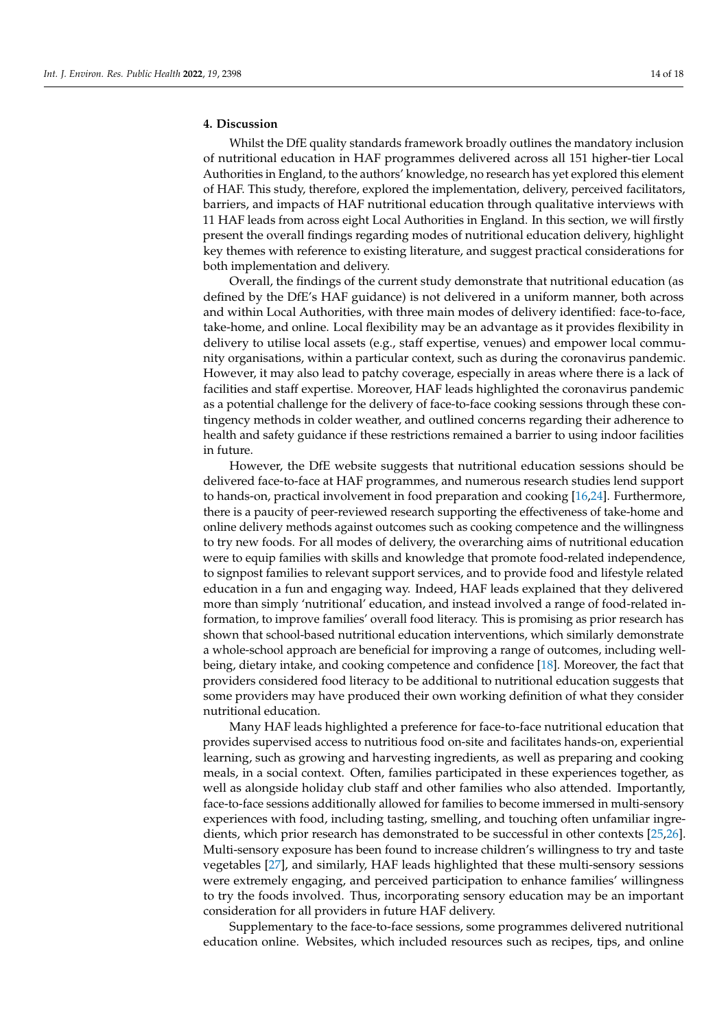# **4. Discussion**

Whilst the DfE quality standards framework broadly outlines the mandatory inclusion of nutritional education in HAF programmes delivered across all 151 higher-tier Local Authorities in England, to the authors' knowledge, no research has yet explored this element of HAF. This study, therefore, explored the implementation, delivery, perceived facilitators, barriers, and impacts of HAF nutritional education through qualitative interviews with 11 HAF leads from across eight Local Authorities in England. In this section, we will firstly present the overall findings regarding modes of nutritional education delivery, highlight key themes with reference to existing literature, and suggest practical considerations for both implementation and delivery.

Overall, the findings of the current study demonstrate that nutritional education (as defined by the DfE's HAF guidance) is not delivered in a uniform manner, both across and within Local Authorities, with three main modes of delivery identified: face-to-face, take-home, and online. Local flexibility may be an advantage as it provides flexibility in delivery to utilise local assets (e.g., staff expertise, venues) and empower local community organisations, within a particular context, such as during the coronavirus pandemic. However, it may also lead to patchy coverage, especially in areas where there is a lack of facilities and staff expertise. Moreover, HAF leads highlighted the coronavirus pandemic as a potential challenge for the delivery of face-to-face cooking sessions through these contingency methods in colder weather, and outlined concerns regarding their adherence to health and safety guidance if these restrictions remained a barrier to using indoor facilities in future.

However, the DfE website suggests that nutritional education sessions should be delivered face-to-face at HAF programmes, and numerous research studies lend support to hands-on, practical involvement in food preparation and cooking [\[16,](#page-17-2)[24\]](#page-17-10). Furthermore, there is a paucity of peer-reviewed research supporting the effectiveness of take-home and online delivery methods against outcomes such as cooking competence and the willingness to try new foods. For all modes of delivery, the overarching aims of nutritional education were to equip families with skills and knowledge that promote food-related independence, to signpost families to relevant support services, and to provide food and lifestyle related education in a fun and engaging way. Indeed, HAF leads explained that they delivered more than simply 'nutritional' education, and instead involved a range of food-related information, to improve families' overall food literacy. This is promising as prior research has shown that school-based nutritional education interventions, which similarly demonstrate a whole-school approach are beneficial for improving a range of outcomes, including wellbeing, dietary intake, and cooking competence and confidence [\[18\]](#page-17-4). Moreover, the fact that providers considered food literacy to be additional to nutritional education suggests that some providers may have produced their own working definition of what they consider nutritional education.

Many HAF leads highlighted a preference for face-to-face nutritional education that provides supervised access to nutritious food on-site and facilitates hands-on, experiential learning, such as growing and harvesting ingredients, as well as preparing and cooking meals, in a social context. Often, families participated in these experiences together, as well as alongside holiday club staff and other families who also attended. Importantly, face-to-face sessions additionally allowed for families to become immersed in multi-sensory experiences with food, including tasting, smelling, and touching often unfamiliar ingredients, which prior research has demonstrated to be successful in other contexts [\[25,](#page-17-11)[26\]](#page-17-12). Multi-sensory exposure has been found to increase children's willingness to try and taste vegetables [\[27\]](#page-17-13), and similarly, HAF leads highlighted that these multi-sensory sessions were extremely engaging, and perceived participation to enhance families' willingness to try the foods involved. Thus, incorporating sensory education may be an important consideration for all providers in future HAF delivery.

Supplementary to the face-to-face sessions, some programmes delivered nutritional education online. Websites, which included resources such as recipes, tips, and online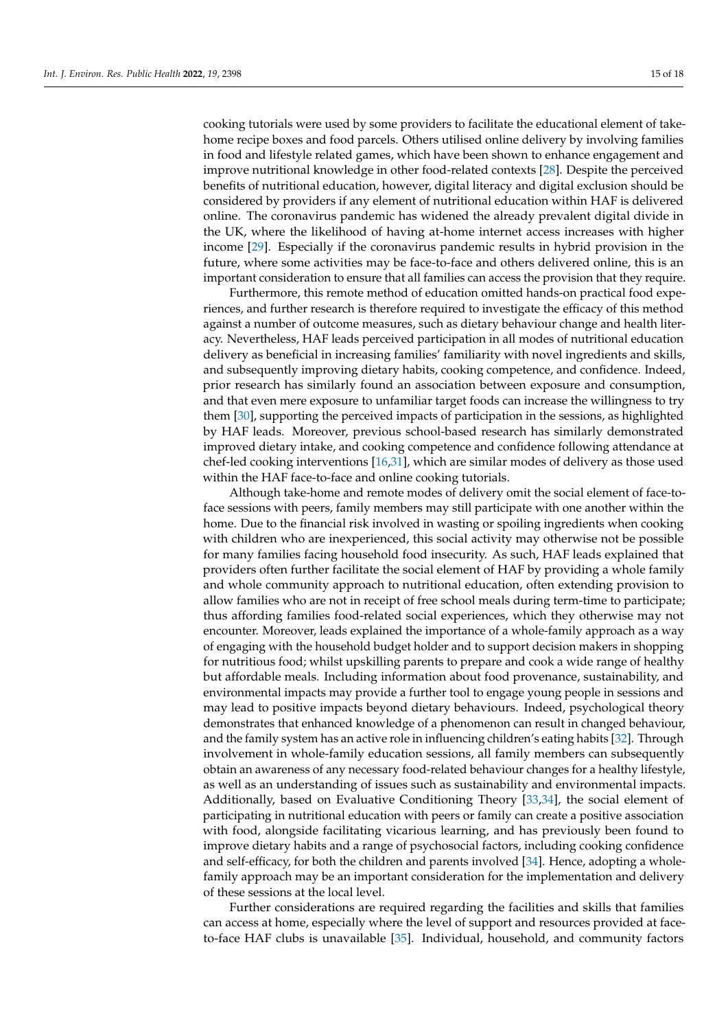cooking tutorials were used by some providers to facilitate the educational element of takehome recipe boxes and food parcels. Others utilised online delivery by involving families in food and lifestyle related games, which have been shown to enhance engagement and improve nutritional knowledge in other food-related contexts [\[28\]](#page-17-14). Despite the perceived benefits of nutritional education, however, digital literacy and digital exclusion should be considered by providers if any element of nutritional education within HAF is delivered online. The coronavirus pandemic has widened the already prevalent digital divide in the UK, where the likelihood of having at-home internet access increases with higher income [\[29\]](#page-17-15). Especially if the coronavirus pandemic results in hybrid provision in the future, where some activities may be face-to-face and others delivered online, this is an important consideration to ensure that all families can access the provision that they require.

Furthermore, this remote method of education omitted hands-on practical food experiences, and further research is therefore required to investigate the efficacy of this method against a number of outcome measures, such as dietary behaviour change and health literacy. Nevertheless, HAF leads perceived participation in all modes of nutritional education delivery as beneficial in increasing families' familiarity with novel ingredients and skills, and subsequently improving dietary habits, cooking competence, and confidence. Indeed, prior research has similarly found an association between exposure and consumption, and that even mere exposure to unfamiliar target foods can increase the willingness to try them [\[30\]](#page-17-16), supporting the perceived impacts of participation in the sessions, as highlighted by HAF leads. Moreover, previous school-based research has similarly demonstrated improved dietary intake, and cooking competence and confidence following attendance at chef-led cooking interventions [\[16,](#page-17-2)[31\]](#page-17-17), which are similar modes of delivery as those used within the HAF face-to-face and online cooking tutorials.

Although take-home and remote modes of delivery omit the social element of face-toface sessions with peers, family members may still participate with one another within the home. Due to the financial risk involved in wasting or spoiling ingredients when cooking with children who are inexperienced, this social activity may otherwise not be possible for many families facing household food insecurity. As such, HAF leads explained that providers often further facilitate the social element of HAF by providing a whole family and whole community approach to nutritional education, often extending provision to allow families who are not in receipt of free school meals during term-time to participate; thus affording families food-related social experiences, which they otherwise may not encounter. Moreover, leads explained the importance of a whole-family approach as a way of engaging with the household budget holder and to support decision makers in shopping for nutritious food; whilst upskilling parents to prepare and cook a wide range of healthy but affordable meals. Including information about food provenance, sustainability, and environmental impacts may provide a further tool to engage young people in sessions and may lead to positive impacts beyond dietary behaviours. Indeed, psychological theory demonstrates that enhanced knowledge of a phenomenon can result in changed behaviour, and the family system has an active role in influencing children's eating habits [\[32\]](#page-17-18). Through involvement in whole-family education sessions, all family members can subsequently obtain an awareness of any necessary food-related behaviour changes for a healthy lifestyle, as well as an understanding of issues such as sustainability and environmental impacts. Additionally, based on Evaluative Conditioning Theory [\[33](#page-17-19)[,34\]](#page-17-20), the social element of participating in nutritional education with peers or family can create a positive association with food, alongside facilitating vicarious learning, and has previously been found to improve dietary habits and a range of psychosocial factors, including cooking confidence and self-efficacy, for both the children and parents involved [\[34\]](#page-17-20). Hence, adopting a wholefamily approach may be an important consideration for the implementation and delivery of these sessions at the local level.

Further considerations are required regarding the facilities and skills that families can access at home, especially where the level of support and resources provided at faceto-face HAF clubs is unavailable [\[35\]](#page-17-21). Individual, household, and community factors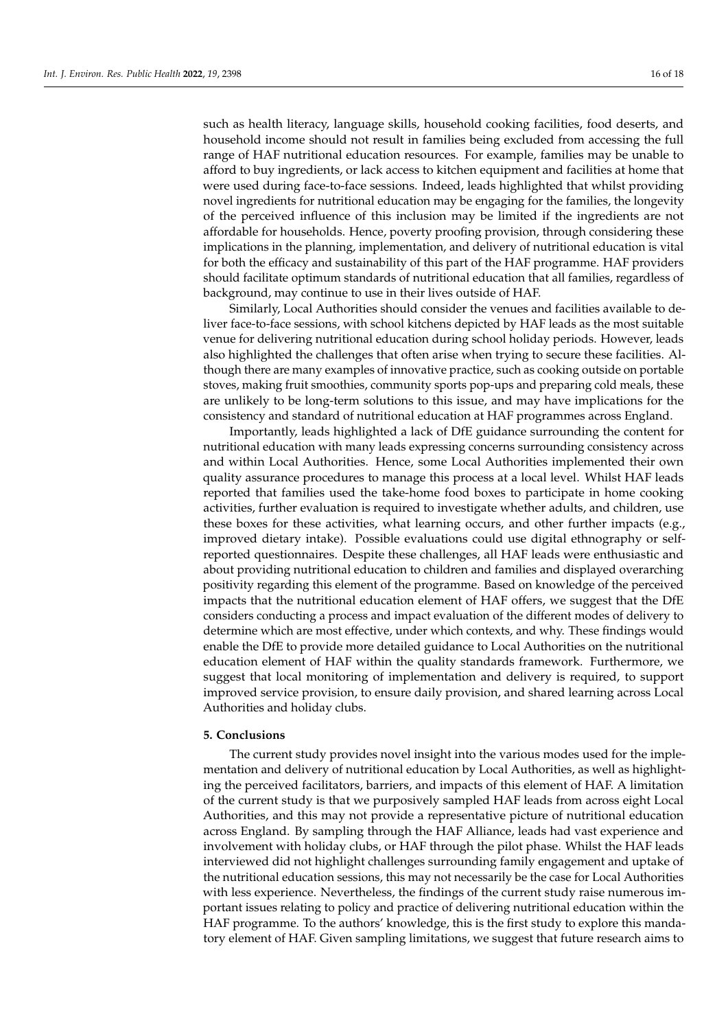such as health literacy, language skills, household cooking facilities, food deserts, and household income should not result in families being excluded from accessing the full range of HAF nutritional education resources. For example, families may be unable to afford to buy ingredients, or lack access to kitchen equipment and facilities at home that were used during face-to-face sessions. Indeed, leads highlighted that whilst providing novel ingredients for nutritional education may be engaging for the families, the longevity of the perceived influence of this inclusion may be limited if the ingredients are not affordable for households. Hence, poverty proofing provision, through considering these implications in the planning, implementation, and delivery of nutritional education is vital for both the efficacy and sustainability of this part of the HAF programme. HAF providers should facilitate optimum standards of nutritional education that all families, regardless of background, may continue to use in their lives outside of HAF.

Similarly, Local Authorities should consider the venues and facilities available to deliver face-to-face sessions, with school kitchens depicted by HAF leads as the most suitable venue for delivering nutritional education during school holiday periods. However, leads also highlighted the challenges that often arise when trying to secure these facilities. Although there are many examples of innovative practice, such as cooking outside on portable stoves, making fruit smoothies, community sports pop-ups and preparing cold meals, these are unlikely to be long-term solutions to this issue, and may have implications for the consistency and standard of nutritional education at HAF programmes across England.

Importantly, leads highlighted a lack of DfE guidance surrounding the content for nutritional education with many leads expressing concerns surrounding consistency across and within Local Authorities. Hence, some Local Authorities implemented their own quality assurance procedures to manage this process at a local level. Whilst HAF leads reported that families used the take-home food boxes to participate in home cooking activities, further evaluation is required to investigate whether adults, and children, use these boxes for these activities, what learning occurs, and other further impacts (e.g., improved dietary intake). Possible evaluations could use digital ethnography or selfreported questionnaires. Despite these challenges, all HAF leads were enthusiastic and about providing nutritional education to children and families and displayed overarching positivity regarding this element of the programme. Based on knowledge of the perceived impacts that the nutritional education element of HAF offers, we suggest that the DfE considers conducting a process and impact evaluation of the different modes of delivery to determine which are most effective, under which contexts, and why. These findings would enable the DfE to provide more detailed guidance to Local Authorities on the nutritional education element of HAF within the quality standards framework. Furthermore, we suggest that local monitoring of implementation and delivery is required, to support improved service provision, to ensure daily provision, and shared learning across Local Authorities and holiday clubs.

#### **5. Conclusions**

The current study provides novel insight into the various modes used for the implementation and delivery of nutritional education by Local Authorities, as well as highlighting the perceived facilitators, barriers, and impacts of this element of HAF. A limitation of the current study is that we purposively sampled HAF leads from across eight Local Authorities, and this may not provide a representative picture of nutritional education across England. By sampling through the HAF Alliance, leads had vast experience and involvement with holiday clubs, or HAF through the pilot phase. Whilst the HAF leads interviewed did not highlight challenges surrounding family engagement and uptake of the nutritional education sessions, this may not necessarily be the case for Local Authorities with less experience. Nevertheless, the findings of the current study raise numerous important issues relating to policy and practice of delivering nutritional education within the HAF programme. To the authors' knowledge, this is the first study to explore this mandatory element of HAF. Given sampling limitations, we suggest that future research aims to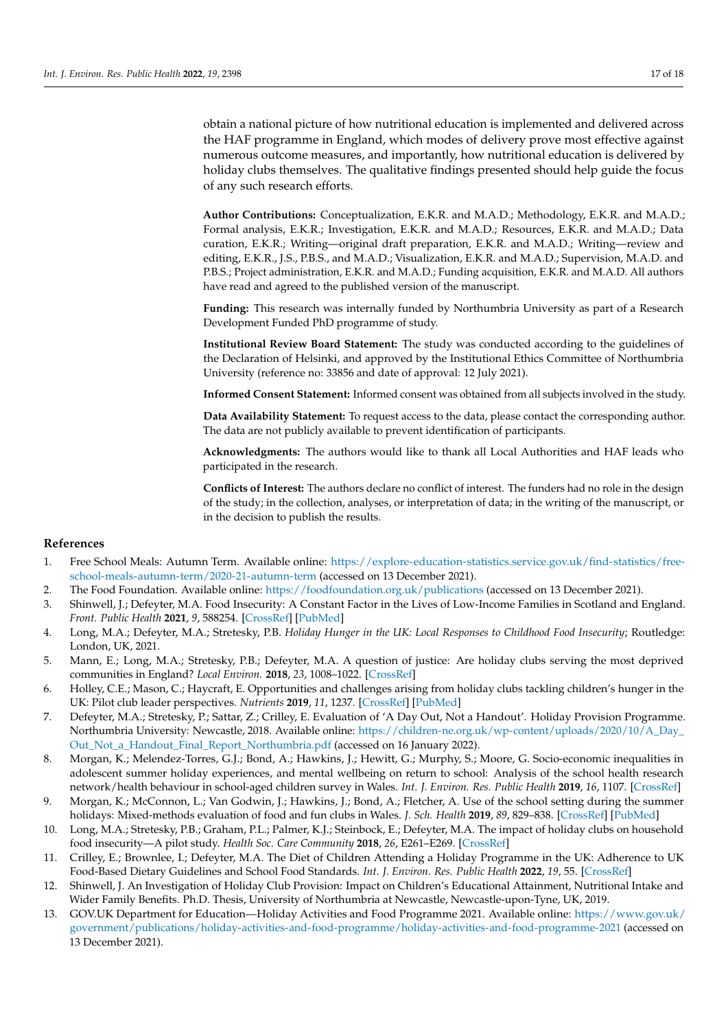obtain a national picture of how nutritional education is implemented and delivered across the HAF programme in England, which modes of delivery prove most effective against numerous outcome measures, and importantly, how nutritional education is delivered by holiday clubs themselves. The qualitative findings presented should help guide the focus of any such research efforts.

**Author Contributions:** Conceptualization, E.K.R. and M.A.D.; Methodology, E.K.R. and M.A.D.; Formal analysis, E.K.R.; Investigation, E.K.R. and M.A.D.; Resources, E.K.R. and M.A.D.; Data curation, E.K.R.; Writing—original draft preparation, E.K.R. and M.A.D.; Writing—review and editing, E.K.R., J.S., P.B.S., and M.A.D.; Visualization, E.K.R. and M.A.D.; Supervision, M.A.D. and P.B.S.; Project administration, E.K.R. and M.A.D.; Funding acquisition, E.K.R. and M.A.D. All authors have read and agreed to the published version of the manuscript.

**Funding:** This research was internally funded by Northumbria University as part of a Research Development Funded PhD programme of study.

**Institutional Review Board Statement:** The study was conducted according to the guidelines of the Declaration of Helsinki, and approved by the Institutional Ethics Committee of Northumbria University (reference no: 33856 and date of approval: 12 July 2021).

**Informed Consent Statement:** Informed consent was obtained from all subjects involved in the study.

**Data Availability Statement:** To request access to the data, please contact the corresponding author. The data are not publicly available to prevent identification of participants.

**Acknowledgments:** The authors would like to thank all Local Authorities and HAF leads who participated in the research.

**Conflicts of Interest:** The authors declare no conflict of interest. The funders had no role in the design of the study; in the collection, analyses, or interpretation of data; in the writing of the manuscript, or in the decision to publish the results.

#### **References**

- <span id="page-16-0"></span>1. Free School Meals: Autumn Term. Available online: [https://explore-education-statistics.service.gov.uk/find-statistics/free](https://explore-education-statistics.service.gov.uk/find-statistics/free-school-meals-autumn-term/2020-21-autumn-term)[school-meals-autumn-term/2020-21-autumn-term](https://explore-education-statistics.service.gov.uk/find-statistics/free-school-meals-autumn-term/2020-21-autumn-term) (accessed on 13 December 2021).
- <span id="page-16-1"></span>2. The Food Foundation. Available online: <https://foodfoundation.org.uk/publications> (accessed on 13 December 2021).
- <span id="page-16-2"></span>3. Shinwell, J.; Defeyter, M.A. Food Insecurity: A Constant Factor in the Lives of Low-Income Families in Scotland and England. *Front. Public Health* **2021**, *9*, 588254. [\[CrossRef\]](http://doi.org/10.3389/fpubh.2021.588254) [\[PubMed\]](http://www.ncbi.nlm.nih.gov/pubmed/34095040)
- <span id="page-16-3"></span>4. Long, M.A.; Defeyter, M.A.; Stretesky, P.B. *Holiday Hunger in the UK: Local Responses to Childhood Food Insecurity*; Routledge: London, UK, 2021.
- <span id="page-16-4"></span>5. Mann, E.; Long, M.A.; Stretesky, P.B.; Defeyter, M.A. A question of justice: Are holiday clubs serving the most deprived communities in England? *Local Environ.* **2018**, *23*, 1008–1022. [\[CrossRef\]](http://doi.org/10.1080/13549839.2018.1518415)
- <span id="page-16-5"></span>6. Holley, C.E.; Mason, C.; Haycraft, E. Opportunities and challenges arising from holiday clubs tackling children's hunger in the UK: Pilot club leader perspectives. *Nutrients* **2019**, *11*, 1237. [\[CrossRef\]](http://doi.org/10.3390/nu11061237) [\[PubMed\]](http://www.ncbi.nlm.nih.gov/pubmed/31151266)
- <span id="page-16-6"></span>7. Defeyter, M.A.; Stretesky, P.; Sattar, Z.; Crilley, E. Evaluation of 'A Day Out, Not a Handout'. Holiday Provision Programme. Northumbria University: Newcastle, 2018. Available online: [https://children-ne.org.uk/wp-content/uploads/2020/10/A\\_Day\\_](https://children-ne.org.uk/wp-content/uploads/2020/10/A_Day_Out_Not_a_Handout_Final_Report_Northumbria.pdf) [Out\\_Not\\_a\\_Handout\\_Final\\_Report\\_Northumbria.pdf](https://children-ne.org.uk/wp-content/uploads/2020/10/A_Day_Out_Not_a_Handout_Final_Report_Northumbria.pdf) (accessed on 16 January 2022).
- 8. Morgan, K.; Melendez-Torres, G.J.; Bond, A.; Hawkins, J.; Hewitt, G.; Murphy, S.; Moore, G. Socio-economic inequalities in adolescent summer holiday experiences, and mental wellbeing on return to school: Analysis of the school health research network/health behaviour in school-aged children survey in Wales. *Int. J. Environ. Res. Public Health* **2019**, *16*, 1107. [\[CrossRef\]](http://doi.org/10.3390/ijerph16071107)
- <span id="page-16-7"></span>9. Morgan, K.; McConnon, L.; Van Godwin, J.; Hawkins, J.; Bond, A.; Fletcher, A. Use of the school setting during the summer holidays: Mixed-methods evaluation of food and fun clubs in Wales. *J. Sch. Health* **2019**, *89*, 829–838. [\[CrossRef\]](http://doi.org/10.1111/josh.12824) [\[PubMed\]](http://www.ncbi.nlm.nih.gov/pubmed/31353475)
- <span id="page-16-8"></span>10. Long, M.A.; Stretesky, P.B.; Graham, P.L.; Palmer, K.J.; Steinbock, E.; Defeyter, M.A. The impact of holiday clubs on household food insecurity—A pilot study. *Health Soc. Care Community* **2018**, *26*, E261–E269. [\[CrossRef\]](http://doi.org/10.1111/hsc.12507)
- <span id="page-16-9"></span>11. Crilley, E.; Brownlee, I.; Defeyter, M.A. The Diet of Children Attending a Holiday Programme in the UK: Adherence to UK Food-Based Dietary Guidelines and School Food Standards. *Int. J. Environ. Res. Public Health* **2022**, *19*, 55. [\[CrossRef\]](http://doi.org/10.3390/ijerph19010055)
- <span id="page-16-10"></span>12. Shinwell, J. An Investigation of Holiday Club Provision: Impact on Children's Educational Attainment, Nutritional Intake and Wider Family Benefits. Ph.D. Thesis, University of Northumbria at Newcastle, Newcastle-upon-Tyne, UK, 2019.
- <span id="page-16-11"></span>13. GOV.UK Department for Education—Holiday Activities and Food Programme 2021. Available online: [https://www.gov.uk/](https://www.gov.uk/government/publications/holiday-activities-and-food-programme/holiday-activities-and-food-programme-2021) [government/publications/holiday-activities-and-food-programme/holiday-activities-and-food-programme-2021](https://www.gov.uk/government/publications/holiday-activities-and-food-programme/holiday-activities-and-food-programme-2021) (accessed on 13 December 2021).